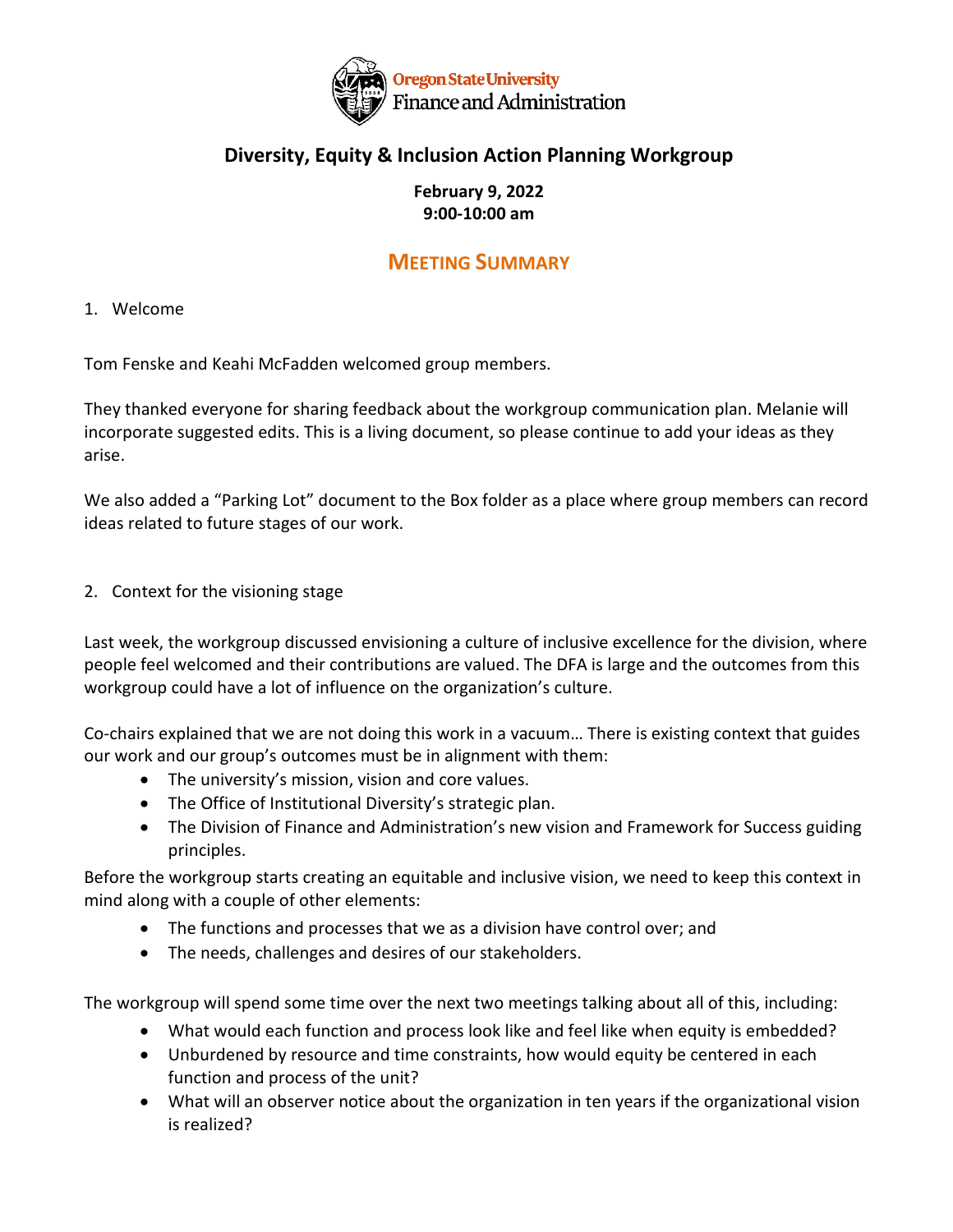

## **Diversity, Equity & Inclusion Action Planning Workgroup**

#### **February 9, 2022 9:00-10:00 am**

# **MEETING SUMMARY**

### 1. Welcome

Tom Fenske and Keahi McFadden welcomed group members.

They thanked everyone for sharing feedback about the workgroup communication plan. Melanie will incorporate suggested edits. This is a living document, so please continue to add your ideas as they arise.

We also added a "Parking Lot" document to the Box folder as a place where group members can record ideas related to future stages of our work.

### 2. Context for the visioning stage

Last week, the workgroup discussed envisioning a culture of inclusive excellence for the division, where people feel welcomed and their contributions are valued. The DFA is large and the outcomes from this workgroup could have a lot of influence on the organization's culture.

Co-chairs explained that we are not doing this work in a vacuum… There is existing context that guides our work and our group's outcomes must be in alignment with them:

- The university's mission, vision and core values.
- The Office of Institutional Diversity's strategic plan.
- The Division of Finance and Administration's new vision and Framework for Success guiding principles.

Before the workgroup starts creating an equitable and inclusive vision, we need to keep this context in mind along with a couple of other elements:

- The functions and processes that we as a division have control over; and
- The needs, challenges and desires of our stakeholders.

The workgroup will spend some time over the next two meetings talking about all of this, including:

- What would each function and process look like and feel like when equity is embedded?
- Unburdened by resource and time constraints, how would equity be centered in each function and process of the unit?
- What will an observer notice about the organization in ten years if the organizational vision is realized?